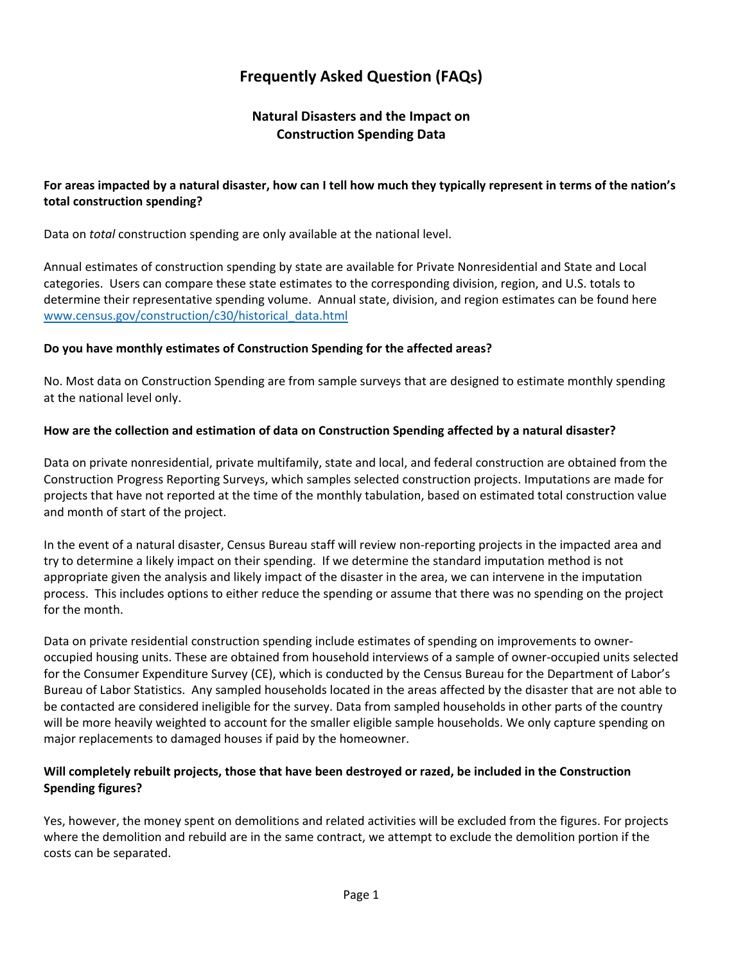# **Frequently Asked Question (FAQs)**

# **Natural Disasters and the Impact on Construction Spending Data**

## **For areas impacted by a natural disaster, how can I tell how much they typically represent in terms of the nation's total construction spending?**

Data on *total* construction spending are only available at the national level.

Annual estimates of construction spending by state are available for Private Nonresidential and State and Local categories. Users can compare these state estimates to the corresponding division, region, and U.S. totals to determine their representative spending volume. Annual state, division, and region estimates can be found here [www.census.gov/construction/c30/historical\\_data.html](http://www.census.gov/construction/c30/historical_data.html)

#### **Do you have monthly estimates of Construction Spending for the affected areas?**

No. Most data on Construction Spending are from sample surveys that are designed to estimate monthly spending at the national level only.

#### **How are the collection and estimation of data on Construction Spending affected by a natural disaster?**

Data on private nonresidential, private multifamily, state and local, and federal construction are obtained from the Construction Progress Reporting Surveys, which samples selected construction projects. Imputations are made for projects that have not reported at the time of the monthly tabulation, based on estimated total construction value and month of start of the project.

In the event of a natural disaster, Census Bureau staff will review non-reporting projects in the impacted area and try to determine a likely impact on their spending. If we determine the standard imputation method is not appropriate given the analysis and likely impact of the disaster in the area, we can intervene in the imputation process. This includes options to either reduce the spending or assume that there was no spending on the project for the month.

Data on private residential construction spending include estimates of spending on improvements to owneroccupied housing units. These are obtained from household interviews of a sample of owner-occupied units selected for the Consumer Expenditure Survey (CE), which is conducted by the Census Bureau for the Department of Labor's Bureau of Labor Statistics. Any sampled households located in the areas affected by the disaster that are not able to be contacted are considered ineligible for the survey. Data from sampled households in other parts of the country will be more heavily weighted to account for the smaller eligible sample households. We only capture spending on major replacements to damaged houses if paid by the homeowner.

## **Will completely rebuilt projects, those that have been destroyed or razed, be included in the Construction Spending figures?**

Yes, however, the money spent on demolitions and related activities will be excluded from the figures. For projects where the demolition and rebuild are in the same contract, we attempt to exclude the demolition portion if the costs can be separated.